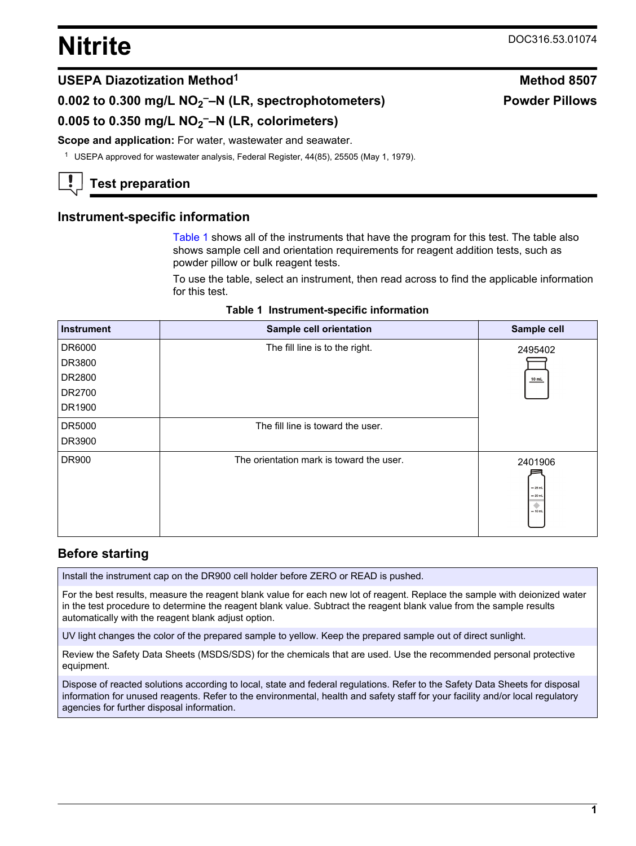# <span id="page-0-0"></span>**Nitrite** DOC316.53.01074

**Powder Pillows**

# **USEPA Diazotization Method<sup>1</sup> Method 8507**

**0.002 to 0.300 mg/L NO<sup>2</sup> ––N (LR, spectrophotometers)**

**0.005 to 0.350 mg/L NO<sup>2</sup> ––N (LR, colorimeters)**

#### **Scope and application:** For water, wastewater and seawater.

<sup>1</sup> USEPA approved for wastewater analysis, Federal Register, 44(85), 25505 (May 1, 1979).

# **Test preparation**

#### **Instrument-specific information**

Table 1 shows all of the instruments that have the program for this test. The table also shows sample cell and orientation requirements for reagent addition tests, such as powder pillow or bulk reagent tests.

To use the table, select an instrument, then read across to find the applicable information for this test.

|  | Table 1 Instrument-specific information |  |
|--|-----------------------------------------|--|
|--|-----------------------------------------|--|

| <b>Instrument</b> | Sample cell orientation                  | Sample cell                                                      |
|-------------------|------------------------------------------|------------------------------------------------------------------|
| DR6000            | The fill line is to the right.           | 2495402                                                          |
| DR3800            |                                          |                                                                  |
| DR2800            |                                          | $10$ mL                                                          |
| DR2700            |                                          |                                                                  |
| DR1900            |                                          |                                                                  |
| DR5000            | The fill line is toward the user.        |                                                                  |
| DR3900            |                                          |                                                                  |
| DR900             | The orientation mark is toward the user. | 2401906<br>$-25$ mL<br>$= 20$ mL<br>$\blacklozenge$<br>$= 10$ mL |

# **Before starting**

Install the instrument cap on the DR900 cell holder before ZERO or READ is pushed.

For the best results, measure the reagent blank value for each new lot of reagent. Replace the sample with deionized water in the test procedure to determine the reagent blank value. Subtract the reagent blank value from the sample results automatically with the reagent blank adjust option.

UV light changes the color of the prepared sample to yellow. Keep the prepared sample out of direct sunlight.

Review the Safety Data Sheets (MSDS/SDS) for the chemicals that are used. Use the recommended personal protective equipment.

Dispose of reacted solutions according to local, state and federal regulations. Refer to the Safety Data Sheets for disposal information for unused reagents. Refer to the environmental, health and safety staff for your facility and/or local regulatory agencies for further disposal information.

#### **1**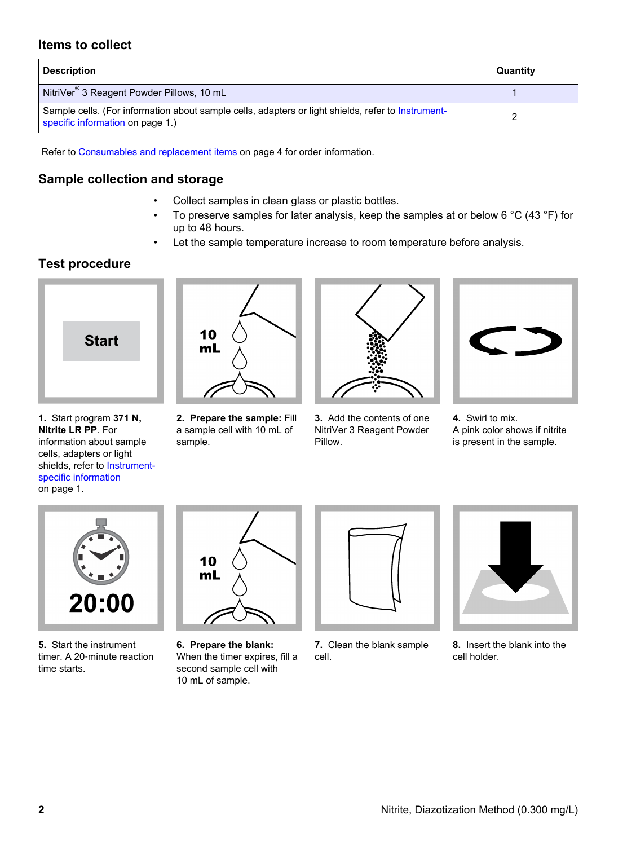### **Items to collect**

| <b>Description</b>                                                                                                                     | Quantity |
|----------------------------------------------------------------------------------------------------------------------------------------|----------|
| NitriVer <sup>®</sup> 3 Reagent Powder Pillows, 10 mL                                                                                  |          |
| Sample cells. (For information about sample cells, adapters or light shields, refer to Instrument-<br>specific information on page 1.) |          |

Refer to [Consumables and replacement items](#page-3-0) on page 4 for order information.

### **Sample collection and storage**

- Collect samples in clean glass or plastic bottles.
- To preserve samples for later analysis, keep the samples at or below 6 °C (43 °F) for up to 48 hours.
- Let the sample temperature increase to room temperature before analysis.

# **Test procedure**



**1.** Start program **371 N, Nitrite LR PP**. For information about sample cells, adapters or light shields, refer to [Instrument](#page-0-0)[specific information](#page-0-0) on page 1.



**2. Prepare the sample:** Fill a sample cell with 10 mL of sample.



**3.** Add the contents of one NitriVer 3 Reagent Powder Pillow.



**4.** Swirl to mix. A pink color shows if nitrite is present in the sample.



**5.** Start the instrument timer. A 20‑minute reaction time starts.



**6. Prepare the blank:** When the timer expires, fill a second sample cell with 10 mL of sample.



**7.** Clean the blank sample cell.



**8.** Insert the blank into the cell holder.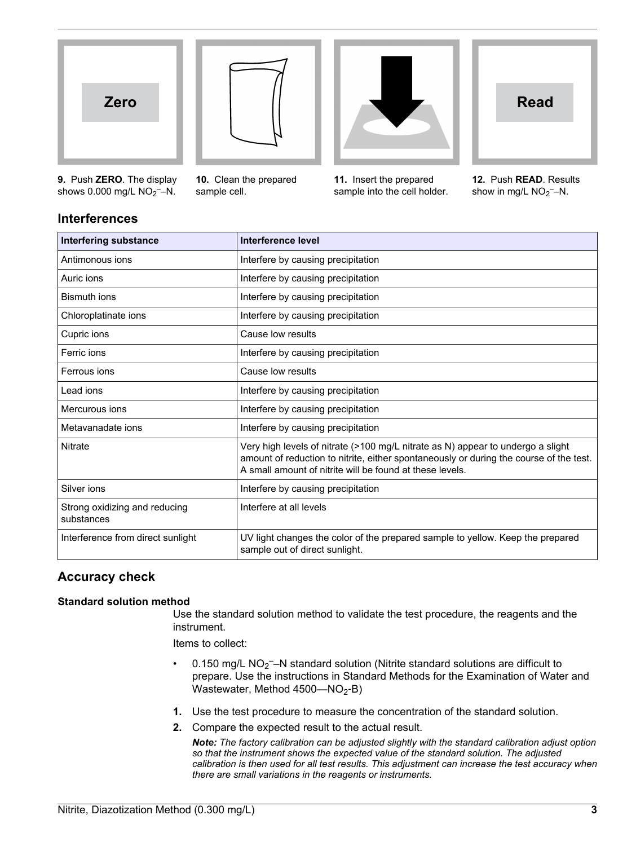



**10.** Clean the prepared

sample cell.



**11.** Insert the prepared sample into the cell holder.



**12.** Push **READ**. Results show in mg/L  $NO<sub>2</sub>$ -N.

# **Interferences**

**9.** Push **ZERO**. The display shows  $0.000$  mg/L  $NO<sub>2</sub>$  --N.

| <b>Interfering substance</b>                | Interference level                                                                                                                                                                                                                    |
|---------------------------------------------|---------------------------------------------------------------------------------------------------------------------------------------------------------------------------------------------------------------------------------------|
| Antimonous ions                             | Interfere by causing precipitation                                                                                                                                                                                                    |
| Auric ions                                  | Interfere by causing precipitation                                                                                                                                                                                                    |
| Bismuth ions                                | Interfere by causing precipitation                                                                                                                                                                                                    |
| Chloroplatinate ions                        | Interfere by causing precipitation                                                                                                                                                                                                    |
| Cupric ions                                 | Cause low results                                                                                                                                                                                                                     |
| Ferric ions                                 | Interfere by causing precipitation                                                                                                                                                                                                    |
| Ferrous ions                                | Cause low results                                                                                                                                                                                                                     |
| Lead ions                                   | Interfere by causing precipitation                                                                                                                                                                                                    |
| Mercurous ions                              | Interfere by causing precipitation                                                                                                                                                                                                    |
| Metavanadate ions                           | Interfere by causing precipitation                                                                                                                                                                                                    |
| Nitrate                                     | Very high levels of nitrate (>100 mg/L nitrate as N) appear to undergo a slight<br>amount of reduction to nitrite, either spontaneously or during the course of the test.<br>A small amount of nitrite will be found at these levels. |
| Silver ions                                 | Interfere by causing precipitation                                                                                                                                                                                                    |
| Strong oxidizing and reducing<br>substances | Interfere at all levels                                                                                                                                                                                                               |
| Interference from direct sunlight           | UV light changes the color of the prepared sample to yellow. Keep the prepared<br>sample out of direct sunlight.                                                                                                                      |

# **Accuracy check**

#### **Standard solution method**

Use the standard solution method to validate the test procedure, the reagents and the instrument.

Items to collect:

- 0.150 mg/L NO<sub>2</sub><sup>-</sup>-N standard solution (Nitrite standard solutions are difficult to prepare. Use the instructions in Standard Methods for the Examination of Water and Wastewater, Method  $4500 - NO<sub>2</sub> - B$ )
- **1.** Use the test procedure to measure the concentration of the standard solution.
- **2.** Compare the expected result to the actual result.

*Note: The factory calibration can be adjusted slightly with the standard calibration adjust option so that the instrument shows the expected value of the standard solution. The adjusted calibration is then used for all test results. This adjustment can increase the test accuracy when there are small variations in the reagents or instruments.*